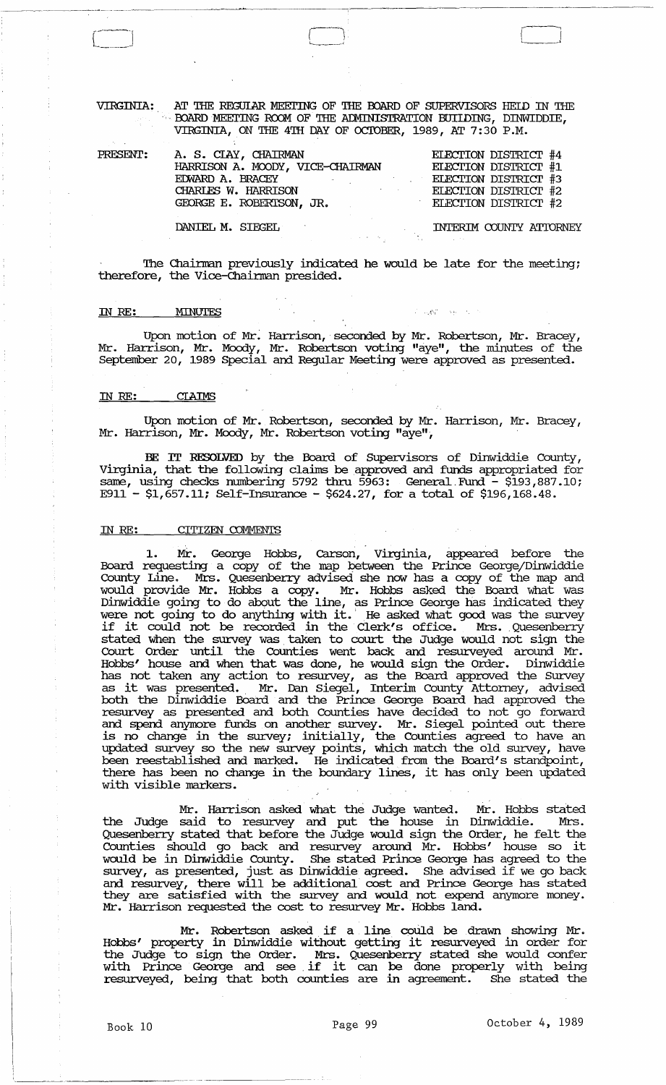VIRGINIA: AT THE REGULAR MEETING OF THE BOARD OF SUPERVISORS HELD IN THE BOARD MEETING ROOM OF THE ADMINISTRATION BUIIDING, DINWIDDIE, VIRGINIA, ON THE 4TH DAY OF OCTOBER, 1989, AT 7:30 P.M.

| PRESENT: | A. S. CIAY, CHAIRMAN             | ELECTION DISTRICT #4        |
|----------|----------------------------------|-----------------------------|
|          | HARRISON A. MOODY, VICE-CHAIRMAN | ELECTION DISTRICT #1        |
|          | EDWARD A. BRACEY                 | <b>ELECTION DISTRICT #3</b> |
|          | CHARLES W. HARRISON              | ELECTION DISTRICT #2        |
|          | GEORGE E. ROBERTSON, JR.         | ELECTION DISTRICT #2        |
|          | DANIEL M. SIEGEL                 | INTERIM COUNTY ATTORNEY     |

The Chairman previously indicated he would be late for the meeting; therefore, the Vice-Chairman presided.

#### IN RE: MINUTES

Upon motion of Mr. Harrison, seconded by Mr. Robertson, Mr. Bracey, Mr. Harrison, Mr. Moody, Mr. Robertson voting "aye", the minutes of the September 20, 1989 Special and Regular Meeting were approved as presented.

中国辉 网络人名

#### IN *RE:*  **CLAIMS**

Upon motion of Mr. Robertson, seconded by Mr. Harrison, Mr. Bracey, Mr. Harrison, Mr. Moody, Mr. Robertson voting "aye".,

BE IT RESOLVED by the Board of Supervisors of Dinwiddie County, Virginia, that the following claims be approved and funds appropriated for same, using checks numbering 5792 thru 5963: General Fund - \$193,887.10; E911 - \$1,657.11; Self-Insurance - \$624.27, for a total of \$196,168.48.

# IN RE: CITIZEN COMMENTS

1. Mr. George Hobbs, carson, Virginia, appeared before the Board requesting a copy of the map between the Prince George/Dinwiddie County Line. Mrs. Quesenberry advised she now has a copy of the map and would provide Mr. Hobbs a copy. Mr. Hobbs asked the Board what was Dinwiddie going to do about the line, as Prince George has indicated they Dimitted going to do anything with it. He asked what good was the survey were not going to ao anything with it. He asked what good was the survey<br>if it could not be recorded in the Clerk's office. Mrs. Quesenberry stated when the survey was. taken to court the Judge would not sign the Court Order until the Counties went back and resurveyed around Mr. Hobbs' house and when that was done, he would sign the Order. Dinwiddie has not taken any action to resurvey, as the Board approved the Survey<br>as it was presented. Mr. Dan Siegel, Interim County Attorney, advised both the Dinwiddie Board and the Prince George Board had approved the resm:vey as presented and both Counties have decided to not go forward and spend anymore funds on another survey. Mr. Siegel pointed out there is no change in the survey; initially, the Counties agreed to have an updated survey so the new survey points, which match the old survey, have been reestablished and marked. He indicated from the Board's standpoint, there has been no change in the boundary lines, it has only been updated with visible markers.

Mr. Harrison asked what the Judge wanted. Mr. Hobbs stated the Judge said to resurvey and put the house in Dinwiddie. Mrs. Quesenberry stated that before the Judge would sign the Order, he felt the Counties should go back and resurvey around Mr. Hobbs' house so it would be in Dinwiddie County. She stated Prince George has agreed to the survey, as presented, just as Dinwiddie agreed. She advised if we go back and resurvey, there will be additional cost and Prince George has stated they are satisfied with the survey and would not expend anymore money. Mr. Harrison requested the cost to resurvey Mr. Hobbs land.

Mr. Robertson asked if a line could be drawn showing Mr. Mr. Kobertson asked it a line could be drawn showing Mr.<br>"Hobbs' property in Dinwiddie without getting it resurveyed in order for the Judge to sign the Order. Mrs. Quesenberry stated she would confer with Prince George and see. if it can be done properly with being resurveyed, being that both counties are in agreement. She stated the

.--.~-- --------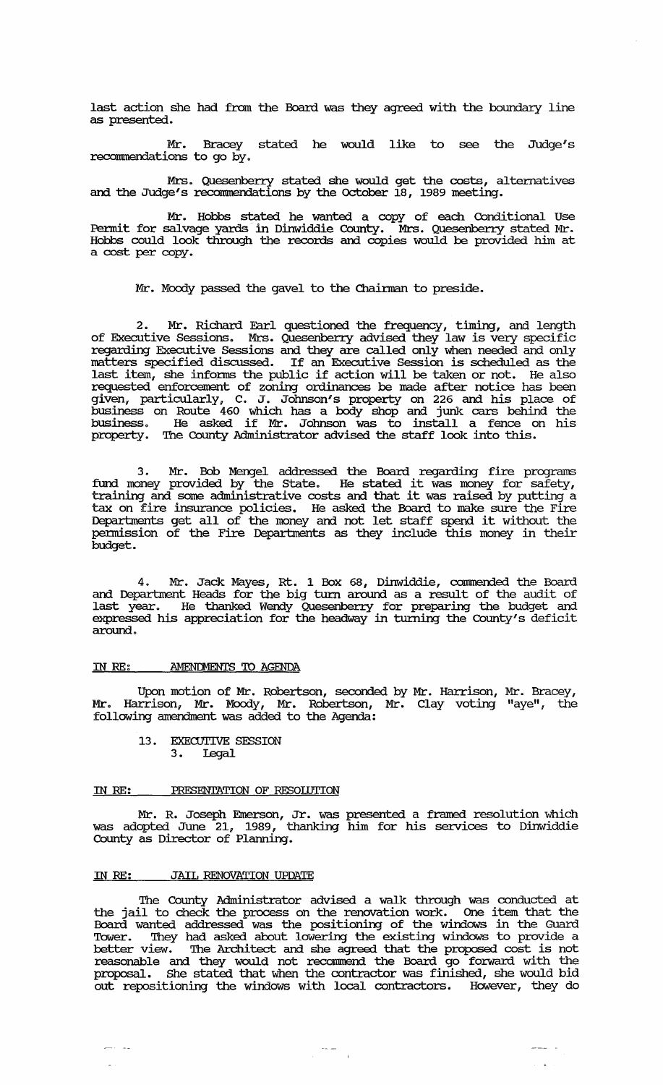last action she had from the Board was they agreed with the boundary line as presented.

Mr. Bracey stated he would like to see the Judge's reconnnendations to go by.

Mrs. Quesenberry stated she would get the costs, alternatives and the Judge's recommendations by the October 18, 1989 meeting.

Mr. Hobbs stated he wanted a copy of each Conditional Use Permit for salvage yards in Dinwiddie County. Mrs. Quesenberry stated Mr. Hobbs could look through the records and copies would be provided him at a cost per copy.

Mr. Moody passed the gavel to the Chairman to preside.

2. Mr. Richard Earl questioned the frequency, timing, and length of Executive Sessions. Mrs. Quesenberry advised they law is very specific regarding Executive sessions and they are called only when needed and only matters specified discussed. If an Executive Session is scheduled as the last item, she intonns the public if action will be taken or not. He also requested enforcement of zoning ordinances be made after notice has been given, particularly, C. J. Johnson's property on 226 and his place of business on Route 460 which has a body shop and junk cars behind the business. He asked if Mr. Johnson was to install a fence on his business. He asked if Mr. Johnson was to install a fence of property. The County Administrator advised the staff look into this.

3. Mr. Bob Mengel addressed the Board regarding fire programs fund money provided by the state. He stated it was money for safety, training and some administrative costs and that it was raised by putting a tax on fire insurance policies. He asked the Board to make sure the Fire Departments get all of the money and not let staff spend it without the pennission of the Fire Deparbnents as they include this money in their budget.

4. Mr. Jack Mayes, Rt. 1 Box 68, Dinwiddie, connnended the Board and Department Heads for the big turn around as a result of the audit of last year. He thanked Wendy Quesenberry for preparing the budget and expressed his appreciation for the headway in turning the County's deficit around.

# IN RE: AMENDMENTS TO AGENDA

Upon motion of Mr. Robertson, seconded by Mr. Harrison, Mr. Bracey, Mr. Harrison, Mr. Moody, Mr. Robertson, Mr. Clay voting "aye", the following amendment was added to the Agenda:

13. EXECUTIVE SESSION 3. Legal

## IN RE: PRESENTATION OF RESOlUTION

Mr. R. Joseph Emerson, Jr. was presented a framed resolution which was adopted June 21, 1989, thanking him for his services to Dinwiddie County as Director of Planning.

# IN RE: JAIL RENOVATION UPDATE

The County Administrator advised a walk through was conducted at the jail to check the process on the renovation work. One item that the Board wanted addressed was the positioning of the windows in the Guard Tower. They had asked about lowering the existing windows to provide a better view. The Architect and she agreed that the proposed cost is not reasonable and they would not reconnnend the Board go forward with the proposal. She stated that when the contractor was finished, she would bid out repositioning the windows with local contractors. However, they do

 $\label{eq:1} \frac{1}{\sqrt{2}}\frac{1}{\sqrt{2}}\frac{1}{\sqrt{2}}\frac{1}{\sqrt{2}}\frac{1}{\sqrt{2}}\frac{1}{\sqrt{2}}\frac{1}{\sqrt{2}}\frac{1}{\sqrt{2}}\frac{1}{\sqrt{2}}\frac{1}{\sqrt{2}}\frac{1}{\sqrt{2}}\frac{1}{\sqrt{2}}\frac{1}{\sqrt{2}}\frac{1}{\sqrt{2}}\frac{1}{\sqrt{2}}\frac{1}{\sqrt{2}}\frac{1}{\sqrt{2}}\frac{1}{\sqrt{2}}\frac{1}{\sqrt{2}}\frac{1}{\sqrt{2}}\frac{1}{\sqrt{2}}\frac{$ 

 $\omega_{\rm{eff}}$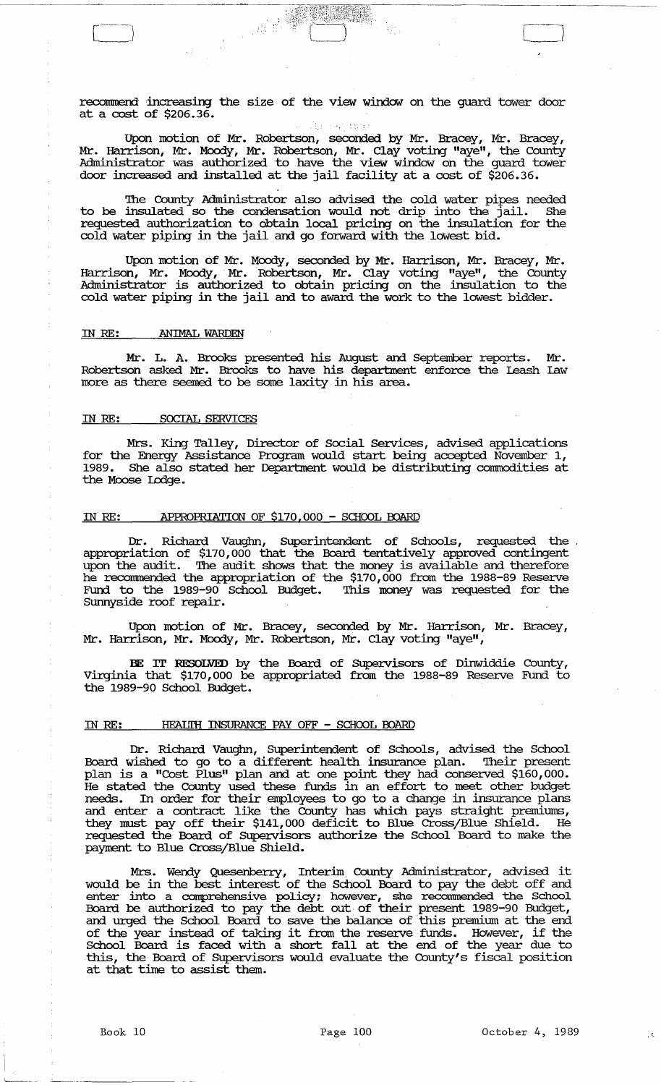recommend increasing the size of the view window on the guard tower door at a cost of \$206.36.

Upon motion of Mr. Robertson, seconded by Mr. Bracey, Mr. Bracey, Mr. Harrison, Mr. Moody, Mr. Robertson, Mr. Clay voting "aye", the County Administrator was authorized to have the view window on the guard tower door increased and installed at the jail facility at a cost of \$206.36.

The County Administrator also advised the cold water pipes needed to be insulated so the condensation would not drip into the jail. She requested authorization to obtain local pricing on the insulation for the cold water piping in the jail and go forward with the lowest bid.

Upon motion of Mr. Moody, seconded by Mr. Harrison, Mr. Bracey, Mr. Harrison, Mr. Moody, Mr. Robertson, Mr. Clay voting "aye", the County Administrator is authorized to obtain pricing on the insulation to the cold water piping in the jail and to award the work to the lowest bidder.

#### IN RE: ANIMAL WARDEN

 $\begin{pmatrix} 1 & 1 \\ 1 & 1 \end{pmatrix}$ 

Mr. L. A. Brooks presented his August and September reports. Mr. Robertson asked Mr. Brooks to have his department enforce the Leash Law more as there seemed to be some laxity in his area.

## IN RE: SOCIAL SERVICES

Mrs. King Talley, Director of Social Services, advised applications for the Energy Assistance Program would start being accepted November 1, 1989. She also stated her Deparbnent would be distributing connnodities at the Moose Lodge.

## IN RE: APPROPRIATION OF \$170,000 - SCHOOL BOARD

Dr. Richard Vaughn, Superintendent of Schools, requested the appropriation of \$170,000 that the Board tentatively approved contingent upon the audit. The audit shows that the money is available and therefore he recommended the appropriation of the \$170,000 from the 1988-89 Reserve Fund to the 1989-90 School Budget. This money was requested for the Sunnyside roof repair.

Upon motion of Mr. Bracey, seconded by Mr. Harrison, Mr. Bracey, Mr. Harrison, Mr. Moody, Mr. Robertson, Mr. Clay voting "aye",

BE IT RESOLVED by the Board of Supervisors of Dinwiddie County, Virginia that \$170,000 be appropriated from the 1988-89 Reserve Fund to the 1989-90 School Budget.

# IN RE: HEALITH INSURANCE PAY OFF - SCHOOL BOARD

Dr. Richard Vaughn, SUperintendent of Schools, advised the School Board wished to go to a different health insurance plan. Their present plan is a "Cost Plus" plan and at one point they had conserved \$160,000. He stated the County used these funds in an effort to meet other budget needs. In order for their employees to go to a change in insurance plans and enter a contract like the County has which pays straight premimns, they must payoff their \$141,000 deficit to Blue Cross/Blue Shield. He requested the Board of SUpervisors authorize the School Board to make the payment to Blue Cross/Blue Shield.

Mrs. Wendy Quesenberry, Interim County Administrator, advised it would be in the best interest of the School Board to pay the debt off and enter into a comprehensive policy; however, she recommended the School Board be authorized to pay the debt out of their present 1989-90 Budget, and urged the School Board to save the balance of· this premium at the end of the year instead of taking it from the reserve funds. However, if the School Board is faced with a short fall at the end of the year due to this, the Board of Supervisors would evaluate the County's fiscal position at that time to assist them.

 $\mathbb{R}^2$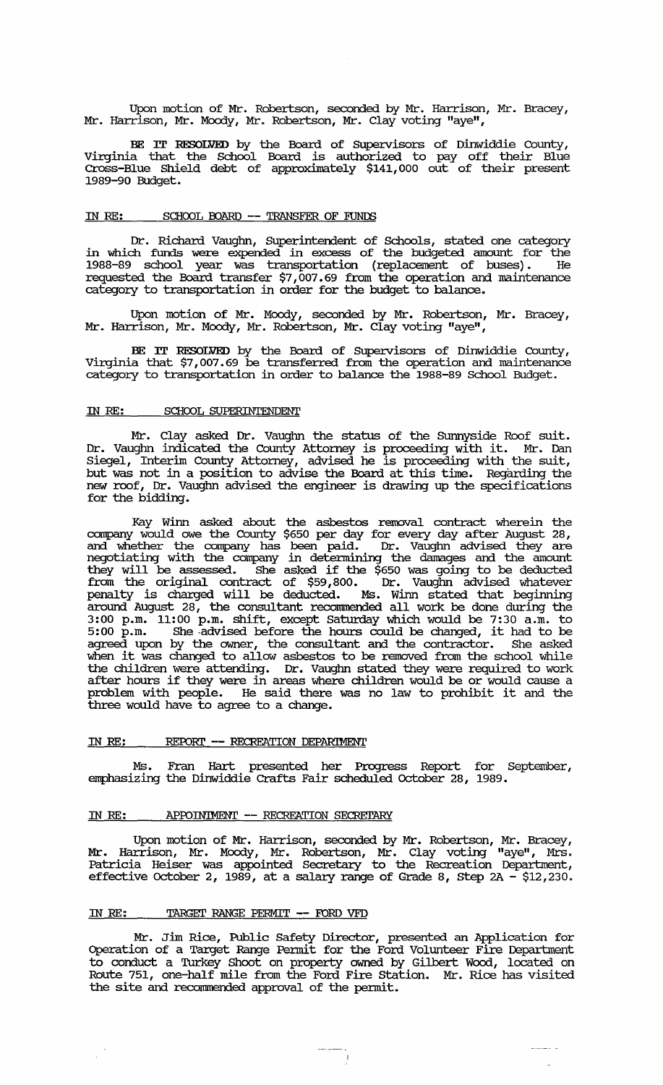Upon motion of Mr. Robertson, seconded by Mr. Harrison, Mr. Bracey, Mr. Harrison, Mr. Moody, Mr. Robertson, Mr. Clay voting "aye",  $\overline{\phantom{a}}$ 

BE IT RESOLVED by the Board of SUpervisors of Dinwiddie County, Virginia that the School Board is authorized to payoff their Blue Cross-Blue Shield debt of approxliuately \$141,000 out of their present 1989-90 Budget.

# IN RE: SCHOOL BOARD -- TRANSFER OF FUNDS

Dr. Richard Vaughn, Superintendent of Schools, stated one category in which funds were expended in excess of the budgeted amount for the 1988-89 school year was transportation (replacement of buses). He requested the Board transfer \$7,007.69 from the operation and maintenance category to transportation in order for the budget to balance.

Upon motion of Mr. Moody, seconded by Mr. Robertson, Mr. Bracey, Mr. Harrison, Mr. Moody, Mr. Robertson, Mr. Clay voting "aye",

BE IT RESOLVED by the Board of SUpervisors of Dinwiddie County, Virginia that \$7,007.69 be transferred from the operation and maintenance category to transportation in order to balance the 1988-89 School Budget.

## IN RE: SCHOOL SUPERINTENDENT

Mr. Clay asked Dr. Vaughn the status of the SUrmyside Roof suit. Dr. Vaughn indicated the County Attorney is proceeding with it. Mr. Dan Siegel, Interim County Attorney, advised he is proceeding with the suit, but was not in a position to advise the Board at this time. Regarding the new roof, Dr. Vaughn advised the engineer is drawing up the specifications for the bidding.

Kay Winn asked about the asbestos removal contract wherein the company would owe the County \$650 per day for every day after August 28, and whether the company has been paid. Dr. Vaughn advised they are negotiating with the company in determining the damages and the amount they will be assessed. She asked if the \$650 was going to be deducted from the original contract of \$59,800. Dr. Vaughn advised whatever penalty is charged will be deducted. Ms. winn stated that beginning around August 28, the consultant reconnnended all work be done during the 3:00 p.m. 11:00 p.m. shift, except saturday which would be 7:30 a.m. to 5:00 p.m. She -advised before the hours could be changed, it had to be agreed upon by the owner, the consultant and the contractor. She asked when it was changed to allow asbestos to be removed from the school while the children were attending. Dr. Vaughn stated they were required to work after hours if they were in areas where children would be or would cause a problem with people. He said there was no law to prohibit it and the three would have to agree to a change.

## IN RE: REPORT -- RECREATION DEPARIMENT

Ms. Fran Hart presented her Progress Report for September, emphasizing the Dinwiddie Crafts Fair scheduled october 28, 1989.

# IN RE: APPOINIMENT -- RECREATION SECRETARY

Upon motion of Mr. Harrison, seconded by Mr. Robertson, Mr. Bracey, Mr. Harrison, Mr. Moody, Mr. Robertson, Mr. Clay voting "aye", Mrs. Patricia Heiser was appointed Secretary to the Recreation Department, effective October 2, 1989, at a salary range of Grade 8, Step  $2A - $12,230$ .

### IN RE: TARGET RANGE PERMIT -- FORD VFD

Mr. Jim Rice, Public Safety Director, presented an Application for Operation of a Target Range Pennit for the Ford Volunteer Fire Department to conduct a Turkey Shoot on property owned by Gilbert Wood, located on Route 751, one-half mile from the Ford Fire station. Mr. Rice has visited the site and reconnnended approval of the pennit.

 $\label{eq:reduced} \begin{split} \mathcal{L}_{\text{in}}(\mathcal{L}_{\text{out}},\mathcal{L}_{\text{out}}) & \sim \mathcal{L}_{\text{out}}(\mathcal{L}_{\text{out}}) \times \mathcal{L}_{\text{out}}(\mathcal{L}_{\text{out}}) \times \mathcal{L}_{\text{out}}(\mathcal{L}_{\text{out}}) \times \mathcal{L}_{\text{out}}(\mathcal{L}_{\text{out}}) \times \mathcal{L}_{\text{out}}(\mathcal{L}_{\text{out}}) \times \mathcal{L}_{\text{out}}(\mathcal{L}_{\text{out}}) \times \mathcal{L}_{\text{out}}(\mathcal{L}_{\text{$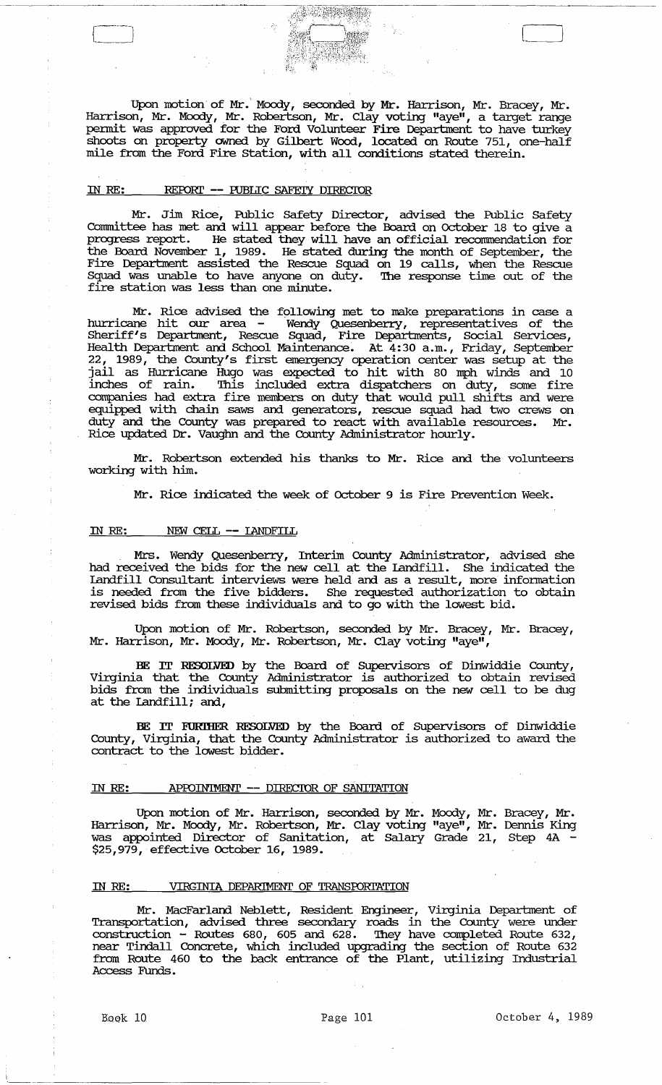Upon motion of Mr.' Moody, seconded by Mr. Harrison, Mr. Bracey, Mr. Harrison, Mr. Moody, Mr. Robertson, Mr. Clay voting "aye", a target range pennit was approved for the Ford Volunteer Fire Department to have turkey shoots on property owned by Gilbert Wood, located on Route 751, one-half mile from the Ford Fire Station, with all conditions stated therein.

# IN RE: REPORT -- PUBLIC SAFETY DIRECTOR

Mr. Jim Rice, Public Safety Director, advised the Public Safety Connnittee has met and will appear before the Board on October 18 to give a progress report. He stated they will have an official reconunendation for the Board November 1, 1989. He stated during the month of September, the Fire Department assisted the Rescue Squad on 19 calls, when the Rescue Squad was unable to have anyone on duty. The response time out of the fire station was less than one minute.

Mr. Rice advised the following met to make preparations in case a hurricane hit our area - Wendy Quesenberry, representatives of the Sheriff's Department, Rescue Squad, Fire Departments, Social Services, Health Department and School Maintenance~ At 4:30 a.m., Friday, September 22, 1989, the County's first emergency operation center was setup at the jail as Hurricane Hugo was expected to hit with 80 mph winds and 10 inches of rain. This included extra dispatchers on duty, some fire companies had extra fire members on duty that would pull shifts and were equipped with chain saws and generators, rescue squad had two crews on duty and the County was prepared to react with available resources. Mr. Rice updated Dr. Vaughn and the County Administrator hourly.

Mr. Robertson extended his thanks to Mr. Rice and the volunteers working with him.

Mr. Rice indicated the week of October 9 is Fire Prevention Week.

## IN RE: NEW CELL -- LANDFILL

Mrs. Wendy Quesenberry, Interim County Administrator, advised she had received the bids for the new cell at the landfill. She indicated the landfill Consultant interviews were held and as a result, more infonnation is needed from the five bidders. She requested authorization to obtain revised bids from these individuals and to go with the lowest bid.

Upon motion of Mr. Robertson, seconded by Mr. Bracey, Mr. Bracey, Mr. Harrison, Mr. Moody, Mr. Robertson, Mr. Clay voting "aye",

BE IT RESOLVED by the Board of SUpervisors of Dinwiddie County, Virginia that the County Administrator is authorized to obtain revised bids from the individuals submitting proposals on the new cell to be dug at the landfill; and,

BE IT FORmER RESOLVED by the Board of supervisors of Dinwiddie County, Virginia, that the County Administrator is authorized to award the contract to the lowest bidder.

#### IN RE: APPOINTMENT -- DIRECTOR OF SANITATION

Upon motion of Mr. Harrison, seconded by Mr. Moody, Mr. Bracey, Mr. Harrison, Mr. Moody, Mr. Robertson, Mr. Clay voting "aye", Mr. Dennis King was appointed Director of Sanitation, at Salary Grade 21, Step 4A -\$25,979, effective October 16, 1989.

# IN RE: VIRGINIA DEPARIMENT OF TRANSPORTATION

Mr. MacFarland Neblett, Resident. Engineer, Virginia Department of Transportation, advised three secondcuy roads in the County were under construction – Routes 680, 605 and 628. They have completed Route 632, near Tindall Concrete, which included upgrading the section of Route 632 from Route 460 to the back entrance of the Plant, utilizing Industrial Access Funds.

.\_----\_.\_-----------------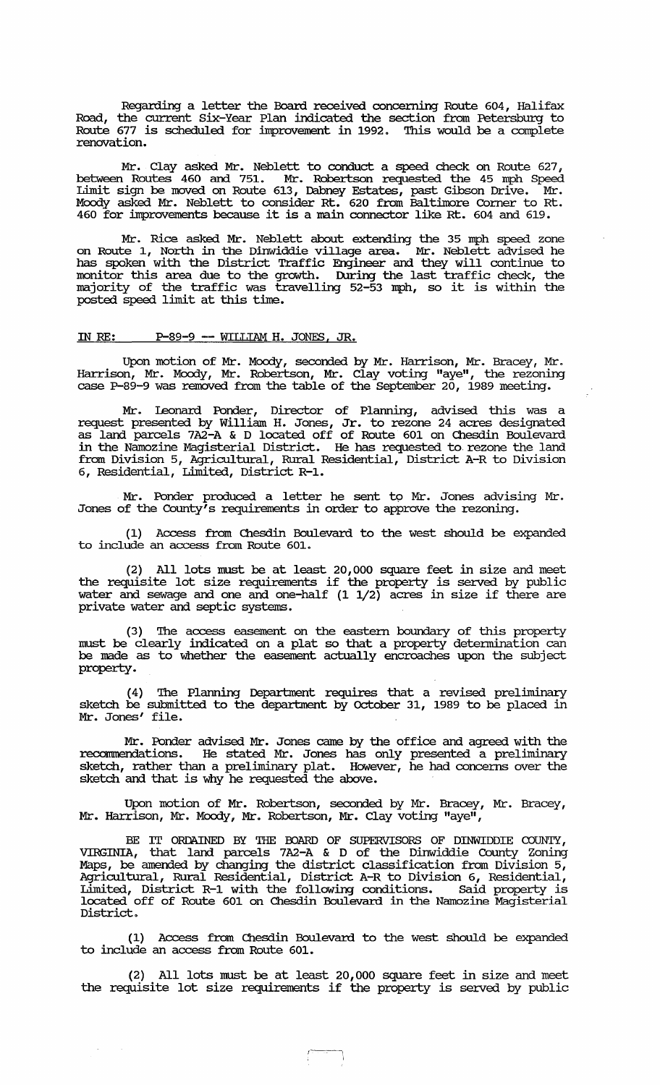Regarding a letter the Board received concerning Route 604, Halifax Road, the current Six-Year Plan indicated the section from Petersburg to Route 677 is scheduled for improvement in 1992. This would be a complete renovation.

Mr. Clay asked Mr. Neblett to conduct a speed check on Route 627, between Routes 460 and 751. Mr. Robertson requested the 45 mph Speed Limit sign be moved on Route 613, Dabney Estates, past Gibson Drive. Mr. Moody asked Mr. Neblett to consider Rt. 620 from Baltimore Corner to Rt. 460 for improvements because it is a main connector like Rt. 604 and 619.

Mr. Rice asked Mr. Neblett about extending the 35 mph speed zone on Route 1, North in the Dinwiddie village area. Mr. Neblett advised he has spoken with the District Traffic Engineer and they will continue to monitor this area due to the growth. During the last traffic check, the majority of the traffic was travelling 52-53 mph, so it is within the posted speed limit at this time.

# IN RE: P-89-9 -- WILLIAM H. JONES, JR.

Upon motion of Mr. Moody, seconded by Mr. Harrison, Mr. Bracey, Mr. Harrison, Mr. Moody, Mr. Robertson, Mr. Clay voting "aye", the rezoning case P-89-9 was removed from the table of the September 20, 1989 meeting.

Mr. Leonard Ponder, Director of Planning, advised this was a request presented by William H. Jones, Jr. to rezone 24 acres designated as land parcels 7A2-A & D located off of Route 601 on Chesdin Boulevard in the Namozine Magisterial District. He has requested to. rezone the land from Division 5, Agricultural, Rural Residential, District A-R to Division 6, Residential, Limited, District R-l.

Mr. Ponder produced a letter he sent to Mr. Jones advising Mr. Jones of the County's requirements in order to approve the rezoning.

(1) Access from Chesdin Boulevard to the west should be expanded to include an access from Route 601.

(2) All lots must be at least 20,000 square feet in size and meet the requisite lot size requirements if the property is served by public water and sewage and one and one-half (1 1/2) acres in size if there are private water and septic systems.

(3) The access easement on the eastern boundary of this property must be clearly indicated on a plat so that a property detennination can be made as to whether the easement actually encroaches upon the subject property.

(4) The Planning Department requires that a revised preliminary sketch be submitted to the deparbnent by october 31, 1989 to be placed in Mr. Jones' file.

Mr. Ponder advised Mr. Jones came by the office and agreed with the recommendations. He stated Mr. Jones has only presented a preliminary sketch, rather than a preliminary plat. However, he had concerns over the sketch and that is why he requested the above.

Upon motion of Mr. Robertson, seconded by Mr. Bracey, Mr. Bracey, Mr. Harrison, Mr. Moody, Mr. Robertson, Mr. Clay voting "aye",

BE IT ORDAINED BY THE BOARD OF SUPERVISORS OF DINWIDDIE COUNTY, VIRGINIA, that land parcels 7A2-A & D of the Dinwiddie County Zoning Maps, be amended by changing the district classification from Division 5, Agricultural, Rural Residential, District A-R to Division 6, Residential, Limited, District R-1 with the following conditions. Said property is located off of Route 601 on Chesdin Boulevard in the Namozine Magisterial District.

(1) Access from Chesdin Boulevard to the west should be expanded to include an access from Route 601.

(2) All lots must be at least 20,000 square feet in size and meet the requisite lot size requirements if the property is served by public

> $-$ I

 $\sim$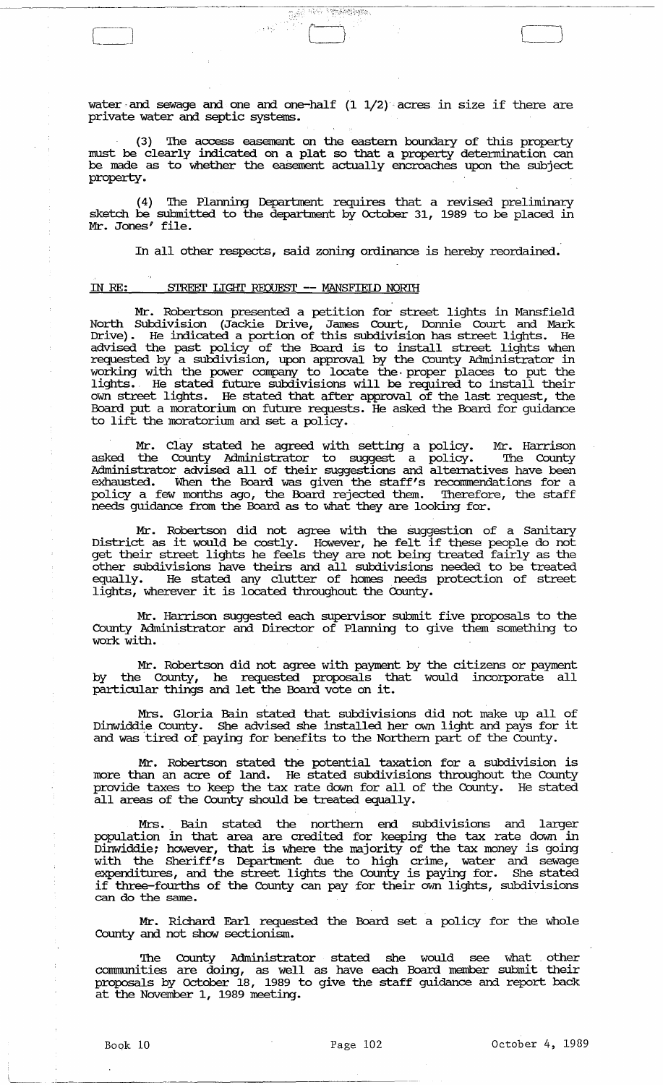water and sewage and one and one-half  $(1\ 1/2)$  acres in size if there are private water and septic systems.

Televis the Compensation

 $\mathbb{R}^{\mathbb{Z}}$ 

 $\lfloor$ 

(3) 'Ihe access easement on the eastern boundary of this property must be clearly indicated on a plat so that a property detennination can be made as to whether the easement actually encroaches upon the subject property.

(4) 'Ihe Planning Department requires that a revised preliminary sketch be submitted to the department by October 31, 1989 to be placed in Mr. Jones' file.

In all other respects, said zoning ordinance is hereby reordained.

## IN RE: STREET LIGHT REQUEST -- MANSFIEID NORIH

Mr. Robertson presented a petition for street lights in Mansfield North SUbdivision (Jackie Drive, James Court, Donnie Court and Mark Drive) . He indicated a portion of this subdivision has street lights. He advised the past policy of the Board is to install street lights when requested by a subdivision, upon approval by the County Administrator in working with the power company to locate the, proper places to put the lights.. He stated future subdivisions will be required to install their own street lights. He stated that after approval of the last request, the Board put a moratorium on future requests. He asked the Board for guidance to lift the moratorium and set a policy.

Mr. Clay stated he agreed with setting a policy. Mr. Harrison asked the County Administrator to suggest a policy. 'Ihe County Administrator advised all of their suggestions and alternatives have been exhausted. When the Board was given the staff's recommendations for a policy a few months ago, the Board rejected them. 'Iherefore, the staff needs guidance from the Board as to what they are looking for.

Mr. Robertson did not agree with the suggestion of a Sanitary<br>District as it would be costly. However, he felt if these people do not get their street lights he feels they are not being treated fairly as the other subdivisions have theirs and all subdivisions needed to be treated equally. He stated any clutter of homes needs protection of street lights, wherever it is located throughout the County.

Mr. Harrison suggested each supervisor submit five proposals to the County Administrator and Director of Planning to give them something to work with.

Mr. Robertson did not agree with payment by the citizens or payment by the County, he requested proposals that would incorporate all particular things and let the Board vote on it.

Mrs. Gloria Bain stated that subdivisions did not make up all of Dinwiddie County. She advised she installed her own light and pays for it and was tired of paying for benefits to the Northern part of the County.

Mr. Robertson stated the potential taxation for a subdivision is more than an acre of land. He stated subdivisions throughout the County provide taxes to keep the tax rate down for all of the County. He stated all areas of the County should be treated equally.

Mrs." Bain stated the northern end subdivisions and larger population in that area are credited for keeping the tax rate down in Dinwiddie; however, that is where the majority of the tax money is going with the Sheriff's Department due to high crime, water and sewage expenditures, and the street lights the County is paying for. She stated if three-fourths of the County can pay for their own lights, subdivisions can do the same.

Mr. Richard Earl requested the Board set a policy for the whole County and not show sectionism.

'Ihe County Administrator stated she would see what other communities are doing, as well as have each Board member submit their proposals by October 18, 1989 to give the staff guidance and report back at the November 1, 1989 meeting.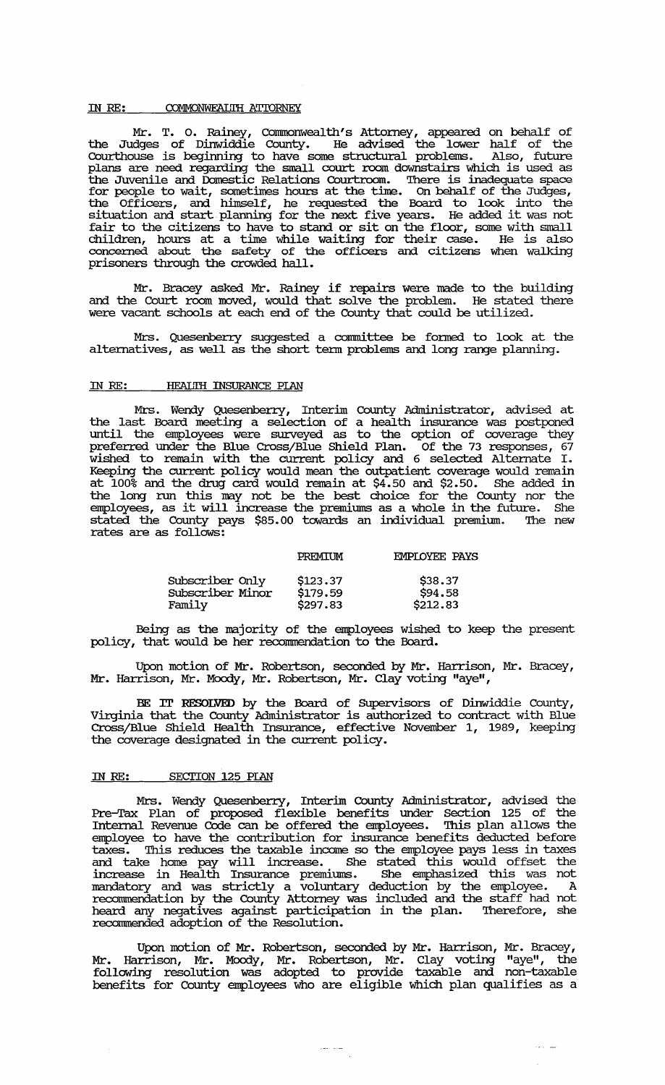### IN RE: COMMONWEALITH ATTORNEY

Mr. T. O. Rainey, Commonwealth's Attorney, appeared on behalf of the Judges of Dinwiddie County. He advised the lower half of the Courthouse is beginning to have some structural problems. Also, future plans are need regarding the small court room downstairs which is used as the Juvenile and Domestic Relations Courtroom. 'Ihere is inadequate space for people to wait, sometimes hours at the time. On behalf of the Judges, the Officers, and himself, he requested the Board to look into the situation and start planning for the next five years. He added it was not fair to the citizens to have to stand or sit on the floor, some with small children, hours at a time while waiting for their case. He is also concerned about the safety of the officers and citizens when walking prisoners through the crowded hall.

Mr. Bracey asked Mr. Rainey if repairs were made to the building and the Court room moved, would that solve the problem. He stated there were vacant schools at each end of the County that could be utilized.

Mrs. Quesenberry suggested a committee be formed to look at the alternatives, as well as the short term problems and long range planning.

# IN RE: **HEAUTH INSURANCE PLAN**

Mrs. Wendy Quesenberry, Interim County Administrator, advised at the last Board meeting a selection of a health insurance was postponed until the employees were surveyed as to the option of coverage they preferred under the Blue Cross/Blue Shield Plan. Of the 73 responses, 67 wished to remain with the current policy and 6 selected Alternate I. Keeping the current policy would mean the outpatient coverage would remain at 100% and the drug card would remain at \$4.50 and \$2.50. She added in the long run this may not be the best choice for the County nor the employees, as it will increase the premiums as a whole in the future. She stated the County pays \$85.00 towards an individual premium. 'Ihe new rates are as follows:

|                  | PREMIUM  | <b>EMPLOYEE PAYS</b> |
|------------------|----------|----------------------|
| Subscriber Only  | \$123.37 | \$38.37              |
| Subscriber Minor | \$179.59 | \$94.58              |
| Family           | \$297.83 | \$212.83             |

Being as the majority of the employees wished to keep the present policy, that would be her reconunendation to the Board.

Upon motion of Mr. Robertson, seconded by Mr. Harrison, Mr. Bracey, Mr. Harrison, Mr. Moody, Mr. Robertson, Mr. Clay voting "aye",

BE IT RESOLVED by the Board of Supervisors of Dinwiddie County, Virginia that the County Administrator is authorized to contract with Blue Cross/Blue Shield Health Insurance, effective November 1, 1989, keeping the coverage designated in the current policy.

# IN RE: SECTION 125 PIAN

Mrs. Wendy Quesenberry, Interim County Administrator, advised the Pre-Tax Plan of proposed flexible benefits under Section 125 of the Internal Revenue Code can be offered the employees. This plan allows the employee to have the contribution for insurance benefits deducted before taxes. This reduces the taxable income so the employee pays less in taxes and take home pay will increase. She stated this would offset the increase in Health Insurance premiums. She emphasized this was not mandatory and was strictly a voluntary deduction by the employee. A reconunendation by the County Attorney was included and the staff had not heard any negatives against participation in the plan. 'Iherefore, she reconnnended adoption of the Resolution.

Upon motion of Mr. Robertson, seconded by Mr. Harrison, Mr. Bracey, Mr. Harrison, Mr. Moody, Mr. Robertson, Mr. Clay voting "aye", the following resolution was adopted to provide taxable and non-taxable benefits for County employees who are eligible which plan qualifies as a

 $\begin{array}{cc} \hspace{-0.2cm} & \hspace{-0.2cm} \textbf{1} & \hspace{-0.2cm} \textbf{1} & \hspace{-0.2cm} \textbf{1} & \hspace{-0.2cm} \textbf{1} & \hspace{-0.2cm} \textbf{1} & \hspace{-0.2cm} \textbf{1} & \hspace{-0.2cm} \textbf{1} & \hspace{-0.2cm} \textbf{1} & \hspace{-0.2cm} \textbf{1} & \hspace{-0.2cm} \textbf{1} & \hspace{-0.2cm} \textbf{1} & \hspace{-0.2cm} \textbf{1} & \hspace{-0.2cm} \text$ 

 $\sim 100$  km  $^{-1}$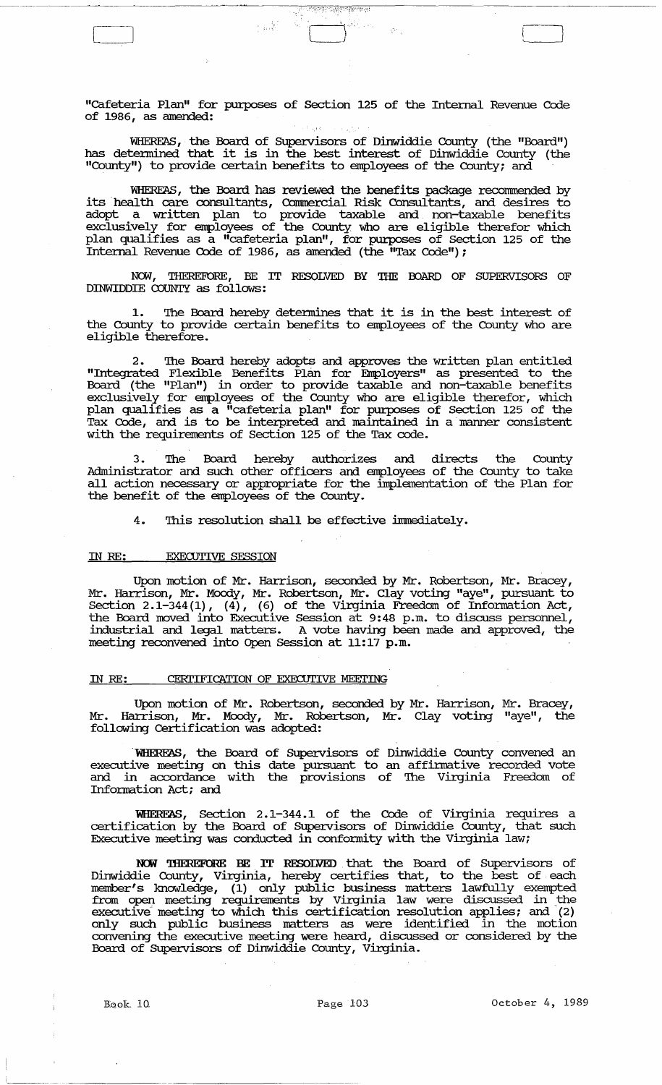"cafeteria Plan" for purposes of Section 125 of the Internal Revenue Code of 1986, as amended:

ইস্কুলিয়ালয় বিশ্ব

 $\frac{1}{2}$  and  $\frac{1}{2}$ 

WHEREAS, the Board of Supervisors of Dinwiddie County (the "Board") has determined that it is in the best interest of Dinwiddie County (the "County") to provide certain benefits to employees of the County; and

WHEREAS, the Board has reviewed the benefits package recommended by its health care consultants, Commercial Risk Consultants, and desires to adopt a written plan to provide taxable and non-taxable benefits exclusively for employees of the County who are eligible therefor which plan qualifies as a "cafeteria plan", for purposes of Section 125 of the Internal Revenue Code of 1986, as amended (the "Tax Code");

NOW, 'IHEREFORE, BE IT RESOLVED BY THE OOARD OF SUPERVISORS OF DINWIDDIE COUNTY as follows:

1. 'Ihe Board hereby detennines that it is in the best interest of the County to provide certain benefits to employees of the County who are eligible therefore.

2. 'Ihe Board hereby adopts and approves the written plan entitled "Integrated Flexible Benefits Plan for Errployers" as presented to the Board (the "Plan") in order to provide taxable and non-taxable benefits exclusively for employees of the County who are eligible therefor, which plan qualifies as a "cafeteria plan" for purposes of Section 125 of the Tax Code, and is to be interpreted and maintained in a manner consistent with the requirements of Section 125 of the Tax code.

3. The Board hereby authorizes and directs the County Administrator and such other officers and employees of the County to take all action necessary or appropriate for the implementation of the Plan for the benefit of the employees of the County.

4. This resolution shall be effective immediately.

#### IN RE: EXECUITVE SESSION

 $\begin{tabular}{|c|c|c|c|} \hline \quad \quad & \quad \quad & \quad \quad \\ \hline \quad \quad & \quad \quad & \quad \quad \\ \hline \quad \quad & \quad \quad & \quad \quad \\ \hline \quad \quad & \quad \quad & \quad \quad \\ \hline \quad \quad & \quad \quad & \quad \quad \\ \hline \quad \quad & \quad \quad & \quad \quad \\ \hline \quad \quad & \quad \quad & \quad \quad \\ \hline \quad \quad & \quad \quad & \quad \quad \\ \hline \quad \quad & \quad \quad & \quad \quad \\ \hline \quad \quad & \quad \quad & \quad \quad \\ \hline \quad \quad & \quad \quad & \quad \quad \\ \hline \quad \$ 

Upon motion of Mr. Harrison, seconded by Mr. Robertson, Mr. Bracey, Mr. Harrison, Mr. Moody, Mr. Robertson, Mr. Clay voting "aye", pursuant to Section 2.1-344(1), (4), (6) of the Virginia Freedom of Information Act, the Board moved into Executive Session at 9:48 p.m. to discuss personnel, industrial and legal matters. A vote having been made and approved, the meeting reconvened into Open Session at 11:17 p.m.

# IN RE: CERTIFICATION OF EXECUTIVE MEETING

Upon motion of Mr. Robertson, seconded by Mr. Harrison, Mr. Bracey, Mr. Harrison, Mr. Moody, Mr. Robertson, Mr. Clay voting "aye", the follOW'ing Certification was adopted:

WHEREAS, the Board of Supervisors of Dinwiddie County convened an executive meeting on this date pursuant to an affirmative recorded vote and in accordance with the provisions of 'Ihe Virginia Freedom of Information Act; and

WHEREAS, Section 2.1-344.1 of the Code of Virginia requires a certification by the Board of SUpe:rvisors of Dinwiddie County, that such Executive meeting was conducted in conformity with the Virginia law;

NOW THEREFORE BE IT RESOLVED that the Board of Supervisors of Dinwiddie County, Virginia, hereby certifies that, to the best of each member's knowledge, (1) only public business matters lawfully exempted from open meeting requirements by Virginia law were discussed in the executive meeting to which this certification resolution applies; and (2) only such public business matters as were identified in the motion convening the executive meeting were heard, discussed or considered by the Board of SUpe:rvisors of Dinwiddie County, Virginia.

-\_ ...... - . -------